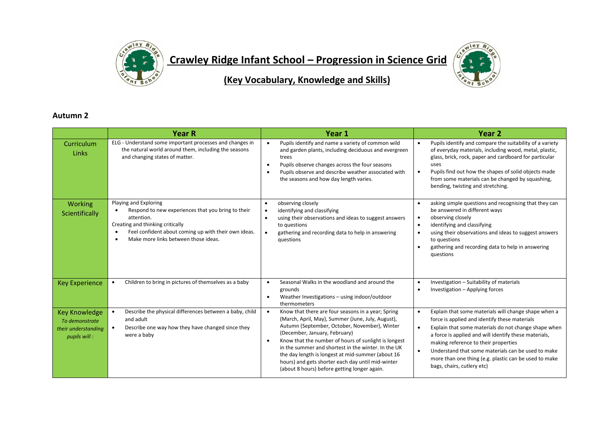

**Crawley Ridge Infant School – Progression in Science Grid** 



**(Key Vocabulary, Knowledge and Skills)**

## **Autumn 2**

|                                                                               | <b>Year R</b>                                                                                                                                                                                                                                           | Year 1                                                                                                                                                                                                                                                                                                                                                                                                                                                                          | Year <sub>2</sub>                                                                                                                                                                                                                                                                                                                                                                                                                     |
|-------------------------------------------------------------------------------|---------------------------------------------------------------------------------------------------------------------------------------------------------------------------------------------------------------------------------------------------------|---------------------------------------------------------------------------------------------------------------------------------------------------------------------------------------------------------------------------------------------------------------------------------------------------------------------------------------------------------------------------------------------------------------------------------------------------------------------------------|---------------------------------------------------------------------------------------------------------------------------------------------------------------------------------------------------------------------------------------------------------------------------------------------------------------------------------------------------------------------------------------------------------------------------------------|
| Curriculum<br>Links                                                           | ELG - Understand some important processes and changes in<br>the natural world around them, including the seasons<br>and changing states of matter.                                                                                                      | Pupils identify and name a variety of common wild<br>$\bullet$<br>and garden plants, including deciduous and evergreen<br>trees<br>Pupils observe changes across the four seasons<br>$\bullet$<br>Pupils observe and describe weather associated with<br>$\bullet$<br>the seasons and how day length varies.                                                                                                                                                                    | Pupils identify and compare the suitability of a variety<br>$\bullet$<br>of everyday materials, including wood, metal, plastic,<br>glass, brick, rock, paper and cardboard for particular<br>uses<br>Pupils find out how the shapes of solid objects made<br>$\bullet$<br>from some materials can be changed by squashing,<br>bending, twisting and stretching.                                                                       |
| <b>Working</b><br>Scientifically                                              | Playing and Exploring<br>Respond to new experiences that you bring to their<br>attention.<br>Creating and thinking critically<br>Feel confident about coming up with their own ideas.<br>$\bullet$<br>Make more links between those ideas.<br>$\bullet$ | observing closely<br>$\bullet$<br>identifying and classifying<br>using their observations and ideas to suggest answers<br>to questions<br>gathering and recording data to help in answering<br>questions                                                                                                                                                                                                                                                                        | asking simple questions and recognising that they can<br>be answered in different ways<br>observing closely<br>$\bullet$<br>identifying and classifying<br>using their observations and ideas to suggest answers<br>$\bullet$<br>to questions<br>gathering and recording data to help in answering<br>questions                                                                                                                       |
| <b>Key Experience</b>                                                         | Children to bring in pictures of themselves as a baby                                                                                                                                                                                                   | Seasonal Walks in the woodland and around the<br>$\bullet$<br>grounds<br>Weather Investigations - using indoor/outdoor<br>thermometers                                                                                                                                                                                                                                                                                                                                          | Investigation - Suitability of materials<br>Investigation - Applying forces<br>$\bullet$                                                                                                                                                                                                                                                                                                                                              |
| <b>Key Knowledge</b><br>To demonstrate<br>their understanding<br>pupils will: | Describe the physical differences between a baby, child<br>and adult<br>Describe one way how they have changed since they<br>were a baby                                                                                                                | Know that there are four seasons in a year; Spring<br>(March, April, May), Summer (June, July, August),<br>Autumn (September, October, November), Winter<br>(December, January, February)<br>Know that the number of hours of sunlight is longest<br>$\bullet$<br>in the summer and shortest in the winter. In the UK<br>the day length is longest at mid-summer (about 16<br>hours) and gets shorter each day until mid-winter<br>(about 8 hours) before getting longer again. | Explain that some materials will change shape when a<br>force is applied and identify these materials<br>Explain that some materials do not change shape when<br>$\bullet$<br>a force is applied and will identify these materials,<br>making reference to their properties<br>Understand that some materials can be used to make<br>$\bullet$<br>more than one thing (e.g. plastic can be used to make<br>bags, chairs, cutlery etc) |